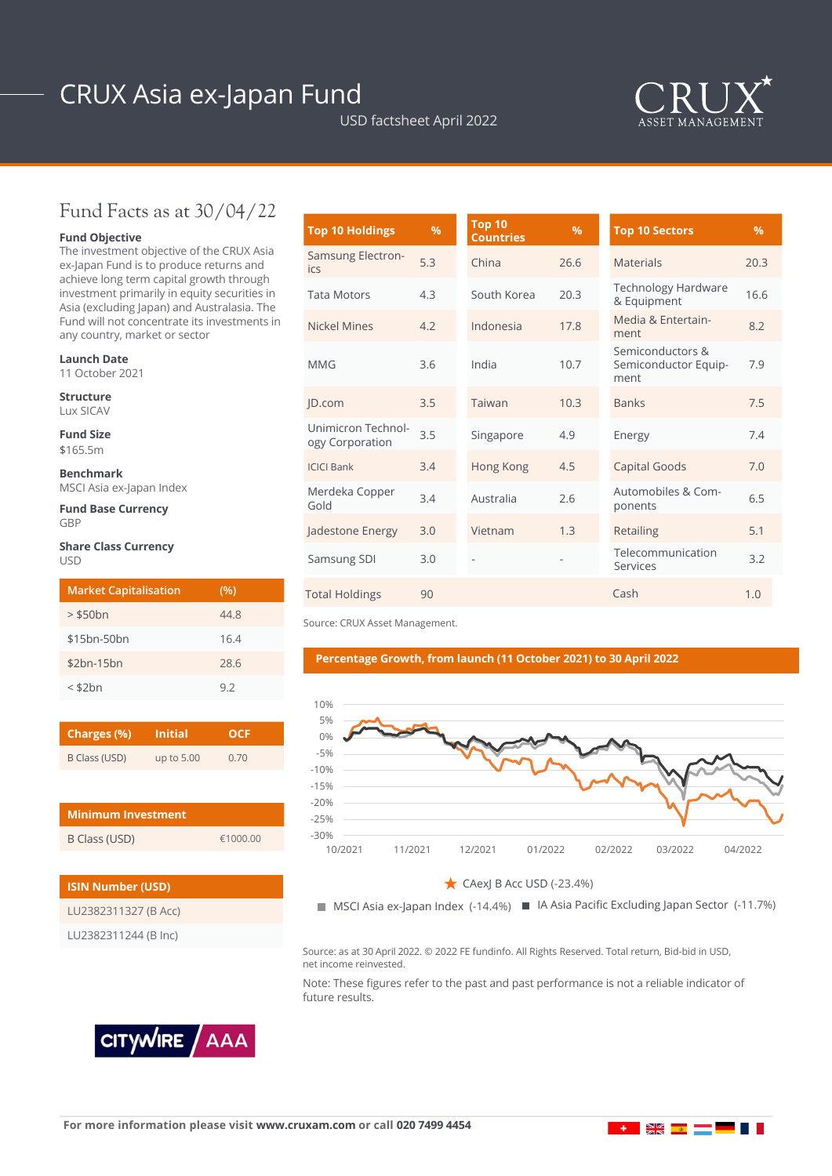# CRUX Asia ex-Japan Fund

USD factsheet April 2022



## Fund Facts as at 30/04/22

### **Fund Objective**

The investment objective of the CRUX Asia ex-Japan Fund is to produce returns and achieve long term capital growth through investment primarily in equity securities in Asia (excluding Japan) and Australasia. The Fund will not concentrate its investments in any country, market or sector

#### **Launch Date**

11 October 2021

**Structure** Lux SICAV

**Fund Size** \$165.5m

**Benchmark** MSCI Asia ex-Japan Index

**Fund Base Currency GRP** 

#### **Share Class Currency** USD

| <b>Market Capitalisation</b> | (%)  |
|------------------------------|------|
| $>$ \$50 $bn$                | 44.8 |
| \$15bn-50bn                  | 16.4 |
| $$2bn-15bn$                  | 28.6 |
| $<$ \$2 $bn$                 | 92   |

| Charges (%)   | <b>Initial</b> | OCE  |
|---------------|----------------|------|
| B Class (USD) | up to 5.00     | 0.70 |

| <b>Minimum Investment</b> |          |
|---------------------------|----------|
| B Class (USD)             | €1000.00 |

| <b>ISIN Number (USD)</b> |
|--------------------------|
| LU2382311327 (B Acc)     |
| LU2382311244 (B Inc)     |



| <b>Top 10 Holdings</b>                | %   | <b>Top 10</b><br><b>Countries</b> | $\%$ | <b>Top 10 Sectors</b>                            | $\frac{9}{6}$ |
|---------------------------------------|-----|-----------------------------------|------|--------------------------------------------------|---------------|
| Samsung Electron-<br>ics              | 5.3 | China                             | 26.6 | <b>Materials</b>                                 | 20.3          |
| <b>Tata Motors</b>                    | 4.3 | South Korea                       | 20.3 | <b>Technology Hardware</b><br>& Equipment        | 16.6          |
| <b>Nickel Mines</b>                   | 4.2 | Indonesia                         | 17.8 | Media & Entertain-<br>ment                       | 8.2           |
| <b>MMG</b>                            | 3.6 | India                             | 10.7 | Semiconductors &<br>Semiconductor Equip-<br>ment | 7.9           |
| JD.com                                | 3.5 | Taiwan                            | 10.3 | <b>Banks</b>                                     | 7.5           |
| Unimicron Technol-<br>ogy Corporation | 3.5 | Singapore                         | 4.9  | Energy                                           | 7.4           |
| <b>ICICI Bank</b>                     | 3.4 | Hong Kong                         | 4.5  | Capital Goods                                    | 7.0           |
| Merdeka Copper<br>Gold                | 3.4 | Australia                         | 2.6  | Automobiles & Com-<br>ponents                    | 6.5           |
| Jadestone Energy                      | 3.0 | Vietnam                           | 1.3  | Retailing                                        | 5.1           |
| Samsung SDI                           | 3.0 |                                   |      | Telecommunication<br>Services                    | 3.2           |
| <b>Total Holdings</b>                 | 90  |                                   |      | Cash                                             | 1.0           |

Source: CRUX Asset Management.

#### **Percentage Growth, from launch (11 October 2021) to 30 April 2022**



CAexJ B Acc USD (-23.4%)  $\mathcal{L} = \frac{1}{2} \int_{-\infty}^{\infty} \frac{1}{2} \, d\mu$ 

MSCI Asia ex-Japan Index (-14.4%) IA Asia Pacific Excluding Japan Sector (-11.7%) IA Asia Pacific Excluding Japan Sector (-11.7%)

Source: as at 30 April 2022. © 2022 FE fundinfo. All Rights Reserved. Total return, Bid-bid in USD, net income reinvested.

Note: These figures refer to the past and past performance is not a reliable indicator of future results.